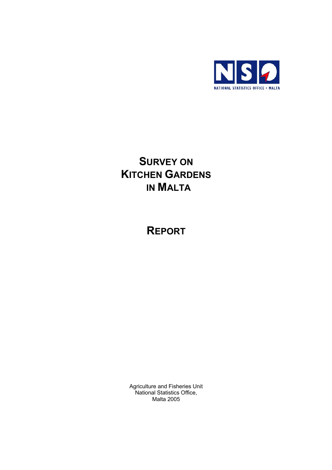

## **SURVEY ON KITCHEN GARDENS IN MALTA**

**REPORT**

Agriculture and Fisheries Unit National Statistics Office, Malta 2005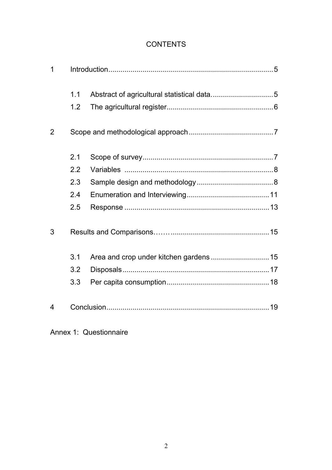## **CONTENTS**

| $\overline{1}$ |     |  |  |  |  |  |
|----------------|-----|--|--|--|--|--|
|                | 1.1 |  |  |  |  |  |
|                | 1.2 |  |  |  |  |  |
| 2              |     |  |  |  |  |  |
|                | 2.1 |  |  |  |  |  |
|                | 2.2 |  |  |  |  |  |
|                | 2.3 |  |  |  |  |  |
|                | 2.4 |  |  |  |  |  |
|                | 2.5 |  |  |  |  |  |
| 3              |     |  |  |  |  |  |
|                | 3.1 |  |  |  |  |  |
|                | 3.2 |  |  |  |  |  |
|                | 3.3 |  |  |  |  |  |
| 4              |     |  |  |  |  |  |

Annex 1: Questionnaire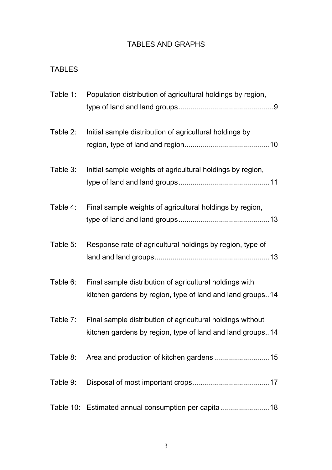## TABLES AND GRAPHS

## TABLES

| Table 1: | Population distribution of agricultural holdings by region,                                                             |
|----------|-------------------------------------------------------------------------------------------------------------------------|
| Table 2: | Initial sample distribution of agricultural holdings by                                                                 |
| Table 3: | Initial sample weights of agricultural holdings by region,                                                              |
| Table 4: | Final sample weights of agricultural holdings by region,                                                                |
| Table 5: | Response rate of agricultural holdings by region, type of                                                               |
| Table 6: | Final sample distribution of agricultural holdings with<br>kitchen gardens by region, type of land and land groups14    |
| Table 7: | Final sample distribution of agricultural holdings without<br>kitchen gardens by region, type of land and land groups14 |
|          | Table 8: Area and production of kitchen gardens 15                                                                      |
| Table 9: |                                                                                                                         |
|          | Table 10: Estimated annual consumption per capita 18                                                                    |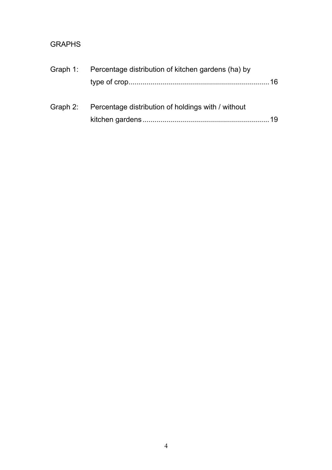## GRAPHS

| Graph 1: Percentage distribution of kitchen gardens (ha) by |  |  |  |  |
|-------------------------------------------------------------|--|--|--|--|
|                                                             |  |  |  |  |
| Graph 2: Percentage distribution of holdings with / without |  |  |  |  |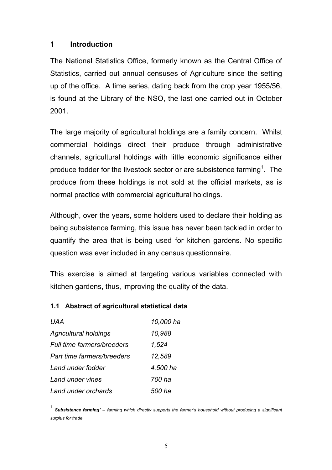## **1 Introduction**

The National Statistics Office, formerly known as the Central Office of Statistics, carried out annual censuses of Agriculture since the setting up of the office. A time series, dating back from the crop year 1955/56, is found at the Library of the NSO, the last one carried out in October 2001.

The large majority of agricultural holdings are a family concern. Whilst commercial holdings direct their produce through administrative channels, agricultural holdings with little economic significance either produce fodder for the livestock sector or are subsistence farming<sup>1</sup>. The produce from these holdings is not sold at the official markets, as is normal practice with commercial agricultural holdings.

Although, over the years, some holders used to declare their holding as being subsistence farming, this issue has never been tackled in order to quantify the area that is being used for kitchen gardens. No specific question was ever included in any census questionnaire.

This exercise is aimed at targeting various variables connected with kitchen gardens, thus, improving the quality of the data.

### **1.1 Abstract of agricultural statistical data**

| UAA                          | 10,000 ha |
|------------------------------|-----------|
| <b>Agricultural holdings</b> | 10,988    |
| Full time farmers/breeders   | 1,524     |
| Part time farmers/breeders   | 12,589    |
| Land under fodder            | 4,500 ha  |
| Land under vines             | 700 ha    |
| Land under orchards          | 500 ha    |

 $\overline{a}$ 

<sup>1</sup> *Subsistence farming' -- farming which directly supports the farmer's household without producing a significant surplus for trade*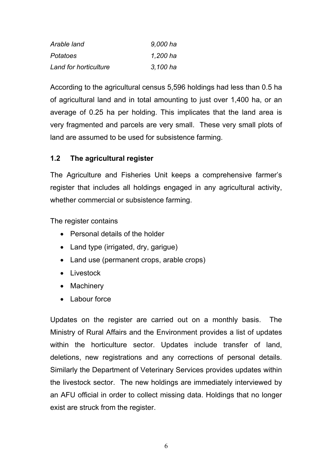| Arable land           | 9,000 ha |
|-----------------------|----------|
| <b>Potatoes</b>       | 1,200 ha |
| Land for horticulture | 3,100 ha |

According to the agricultural census 5,596 holdings had less than 0.5 ha of agricultural land and in total amounting to just over 1,400 ha, or an average of 0.25 ha per holding. This implicates that the land area is very fragmented and parcels are very small. These very small plots of land are assumed to be used for subsistence farming.

### **1.2 The agricultural register**

The Agriculture and Fisheries Unit keeps a comprehensive farmer's register that includes all holdings engaged in any agricultural activity, whether commercial or subsistence farming.

The register contains

- Personal details of the holder
- Land type (irrigated, dry, garigue)
- Land use (permanent crops, arable crops)
- Livestock
- Machinery
- Labour force

Updates on the register are carried out on a monthly basis. The Ministry of Rural Affairs and the Environment provides a list of updates within the horticulture sector. Updates include transfer of land, deletions, new registrations and any corrections of personal details. Similarly the Department of Veterinary Services provides updates within the livestock sector. The new holdings are immediately interviewed by an AFU official in order to collect missing data. Holdings that no longer exist are struck from the register.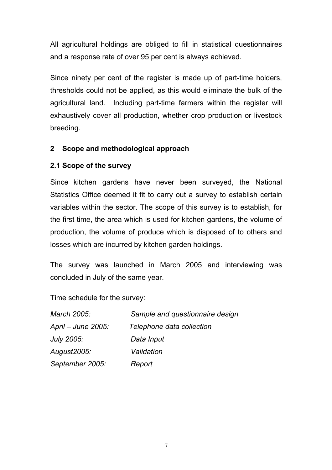All agricultural holdings are obliged to fill in statistical questionnaires and a response rate of over 95 per cent is always achieved.

Since ninety per cent of the register is made up of part-time holders, thresholds could not be applied, as this would eliminate the bulk of the agricultural land. Including part-time farmers within the register will exhaustively cover all production, whether crop production or livestock breeding.

## **2 Scope and methodological approach**

## **2.1 Scope of the survey**

Since kitchen gardens have never been surveyed, the National Statistics Office deemed it fit to carry out a survey to establish certain variables within the sector. The scope of this survey is to establish, for the first time, the area which is used for kitchen gardens, the volume of production, the volume of produce which is disposed of to others and losses which are incurred by kitchen garden holdings.

The survey was launched in March 2005 and interviewing was concluded in July of the same year.

Time schedule for the survey:

| March 2005:        | Sample and questionnaire design |
|--------------------|---------------------------------|
| April – June 2005: | Telephone data collection       |
| <b>July 2005:</b>  | Data Input                      |
| August2005:        | Validation                      |
| September 2005:    | Report                          |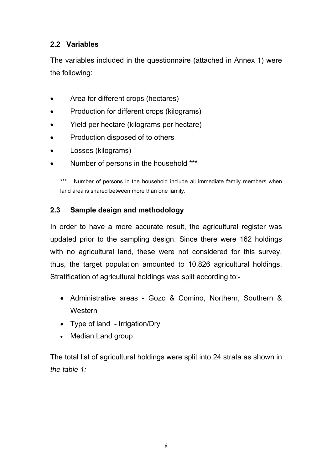## **2.2 Variables**

The variables included in the questionnaire (attached in Annex 1) were the following:

- Area for different crops (hectares)
- Production for different crops (kilograms)
- Yield per hectare (kilograms per hectare)
- Production disposed of to others
- Losses (kilograms)
- Number of persons in the household \*\*\*

\*\*\* Number of persons in the household include all immediate family members when land area is shared between more than one family.

## **2.3 Sample design and methodology**

In order to have a more accurate result, the agricultural register was updated prior to the sampling design. Since there were 162 holdings with no agricultural land, these were not considered for this survey, thus, the target population amounted to 10,826 agricultural holdings. Stratification of agricultural holdings was split according to:-

- Administrative areas Gozo & Comino, Northern, Southern & **Western**
- Type of land Irrigation/Dry
- Median Land group

The total list of agricultural holdings were split into 24 strata as shown in *the table 1:*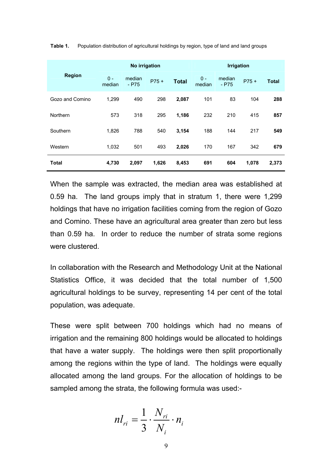|                 | No irrigation   |                   |        |              | <b>Irrigation</b> |                   |         |              |
|-----------------|-----------------|-------------------|--------|--------------|-------------------|-------------------|---------|--------------|
| <b>Region</b>   | $0 -$<br>median | median<br>$-$ P75 | $P75+$ | <b>Total</b> | $0 -$<br>median   | median<br>$-$ P75 | $P75 +$ | <b>Total</b> |
| Gozo and Comino | 1,299           | 490               | 298    | 2,087        | 101               | 83                | 104     | 288          |
| <b>Northern</b> | 573             | 318               | 295    | 1,186        | 232               | 210               | 415     | 857          |
| Southern        | 1,826           | 788               | 540    | 3,154        | 188               | 144               | 217     | 549          |
| Western         | 1,032           | 501               | 493    | 2,026        | 170               | 167               | 342     | 679          |
| <b>Total</b>    | 4,730           | 2,097             | 1,626  | 8,453        | 691               | 604               | 1,078   | 2,373        |

**Table 1.** Population distribution of agricultural holdings by region, type of land and land groups

When the sample was extracted, the median area was established at 0.59 ha. The land groups imply that in stratum 1, there were 1,299 holdings that have no irrigation facilities coming from the region of Gozo and Comino. These have an agricultural area greater than zero but less than 0.59 ha. In order to reduce the number of strata some regions were clustered*.* 

In collaboration with the Research and Methodology Unit at the National Statistics Office, it was decided that the total number of 1,500 agricultural holdings to be survey, representing 14 per cent of the total population, was adequate.

These were split between 700 holdings which had no means of irrigation and the remaining 800 holdings would be allocated to holdings that have a water supply. The holdings were then split proportionally among the regions within the type of land. The holdings were equally allocated among the land groups. For the allocation of holdings to be sampled among the strata, the following formula was used:-

$$
nl_{ri} = \frac{1}{3} \cdot \frac{N_{ri}}{N_i} \cdot n_i
$$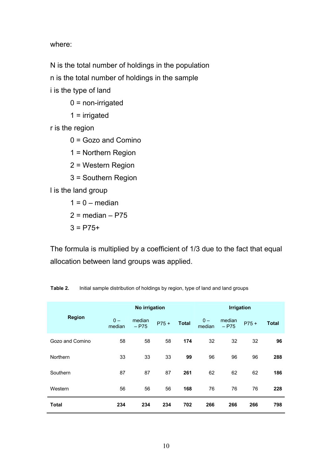where:

N is the total number of holdings in the population n is the total number of holdings in the sample i is the type of land

- $0 =$  non-irrigated
- $1 =$  irrigated

r is the region

- $0 =$  Gozo and Comino
- 1 = Northern Region
- 2 = Western Region
- 3 = Southern Region

l is the land group

- $1 = 0$  median
- $2 = median P75$
- $3 = P75+$

The formula is multiplied by a coefficient of 1/3 due to the fact that equal allocation between land groups was applied.

|                 |                 | No irrigation     |        |              | <b>Irrigation</b> |                   |        |              |
|-----------------|-----------------|-------------------|--------|--------------|-------------------|-------------------|--------|--------------|
| <b>Region</b>   | $0 -$<br>median | median<br>$-$ P75 | $P75+$ | <b>Total</b> | $0 -$<br>median   | median<br>$-$ P75 | $P75+$ | <b>Total</b> |
| Gozo and Comino | 58              | 58                | 58     | 174          | 32                | 32                | 32     | 96           |
| Northern        | 33              | 33                | 33     | 99           | 96                | 96                | 96     | 288          |
| Southern        | 87              | 87                | 87     | 261          | 62                | 62                | 62     | 186          |
| Western         | 56              | 56                | 56     | 168          | 76                | 76                | 76     | 228          |
| <b>Total</b>    | 234             | 234               | 234    | 702          | 266               | 266               | 266    | 798          |

**Table 2.** Initial sample distribution of holdings by region, type of land and land groups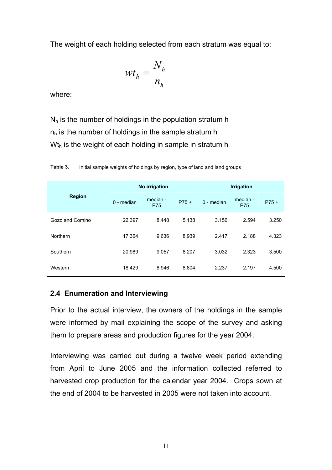The weight of each holding selected from each stratum was equal to:

$$
wt_h = \frac{N_h}{n_h}
$$

where:

 $N_h$  is the number of holdings in the population stratum h  $n<sub>h</sub>$  is the number of holdings in the sample stratum h  $Wt<sub>h</sub>$  is the weight of each holding in sample in stratum h

|                 |              | No irrigation          |        | <b>Irrigation</b> |                 |        |  |
|-----------------|--------------|------------------------|--------|-------------------|-----------------|--------|--|
| <b>Region</b>   | $0$ - median | median -<br><b>P75</b> | $P75+$ | $0$ - median      | median -<br>P75 | $P75+$ |  |
| Gozo and Comino | 22.397       | 8.448                  | 5.138  | 3.156             | 2.594           | 3.250  |  |
| Northern        | 17.364       | 9.636                  | 8.939  | 2.417             | 2.188           | 4.323  |  |
| Southern        | 20.989       | 9.057                  | 6.207  | 3.032             | 2.323           | 3.500  |  |
| Western         | 18.429       | 8.946                  | 8.804  | 2.237             | 2.197           | 4.500  |  |

**Table 3.** Initial sample weights of holdings by region, type of land and land groups

## **2.4 Enumeration and Interviewing**

Prior to the actual interview, the owners of the holdings in the sample were informed by mail explaining the scope of the survey and asking them to prepare areas and production figures for the year 2004.

Interviewing was carried out during a twelve week period extending from April to June 2005 and the information collected referred to harvested crop production for the calendar year 2004. Crops sown at the end of 2004 to be harvested in 2005 were not taken into account*.*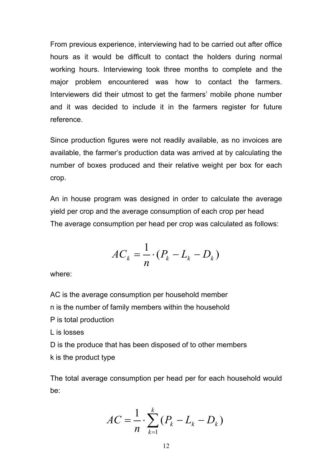From previous experience, interviewing had to be carried out after office hours as it would be difficult to contact the holders during normal working hours. Interviewing took three months to complete and the major problem encountered was how to contact the farmers. Interviewers did their utmost to get the farmers' mobile phone number and it was decided to include it in the farmers register for future reference.

Since production figures were not readily available, as no invoices are available, the farmer's production data was arrived at by calculating the number of boxes produced and their relative weight per box for each crop.

An in house program was designed in order to calculate the average yield per crop and the average consumption of each crop per head The average consumption per head per crop was calculated as follows:

$$
AC_k = \frac{1}{n} \cdot (P_k - L_k - D_k)
$$

where:

k is the product type

AC is the average consumption per household member n is the number of family members within the household P is total production L is losses D is the produce that has been disposed of to other members

The total average consumption per head per for each household would be:

$$
AC = \frac{1}{n} \cdot \sum_{k=1}^{k} (P_k - L_k - D_k)
$$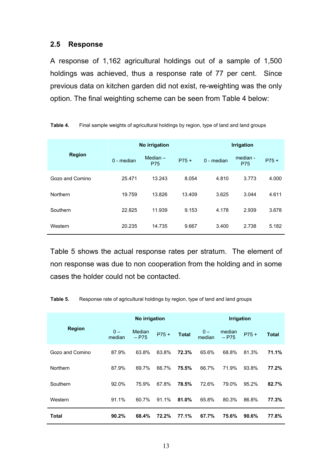#### **2.5 Response**

A response of 1,162 agricultural holdings out of a sample of 1,500 holdings was achieved, thus a response rate of 77 per cent. Since previous data on kitchen garden did not exist, re-weighting was the only option. The final weighting scheme can be seen from Table 4 below:

|                 |              | No irrigation            |        | <b>Irrigation</b> |                        |        |  |
|-----------------|--------------|--------------------------|--------|-------------------|------------------------|--------|--|
| <b>Region</b>   | $0 - median$ | Median $-$<br><b>P75</b> | $P75+$ | $0$ - median      | median -<br><b>P75</b> | $P75+$ |  |
| Gozo and Comino | 25.471       | 13.243                   | 8.054  | 4.810             | 3.773                  | 4.000  |  |
| Northern        | 19.759       | 13.826                   | 13.409 | 3.625             | 3.044                  | 4.611  |  |
| Southern        | 22.825       | 11.939                   | 9.153  | 4.178             | 2.939                  | 3.678  |  |
| Western         | 20.235       | 14.735                   | 9.667  | 3.400             | 2.738                  | 5.182  |  |

| Table 4. | Final sample weights of agricultural holdings by region, type of land and land groups |
|----------|---------------------------------------------------------------------------------------|
|----------|---------------------------------------------------------------------------------------|

Table 5 shows the actual response rates per stratum. The element of non response was due to non cooperation from the holding and in some cases the holder could not be contacted.

|                 |                 | No irrigation     |        |              |                 | <b>Irrigation</b> |        |              |
|-----------------|-----------------|-------------------|--------|--------------|-----------------|-------------------|--------|--------------|
| <b>Region</b>   | $0 -$<br>median | Median<br>$-$ P75 | $P75+$ | <b>Total</b> | $0 -$<br>median | median<br>$-$ P75 | $P75+$ | <b>Total</b> |
| Gozo and Comino | 87.9%           | 63.8%             | 63.8%  | 72.3%        | 65.6%           | 68.8%             | 81.3%  | 71.1%        |
| Northern        | 87.9%           | 69.7%             | 66.7%  | 75.5%        | 66.7%           | 71.9%             | 93.8%  | 77.2%        |
| Southern        | 92.0%           | 75.9%             | 67.8%  | 78.5%        | 72.6%           | 79.0%             | 95.2%  | 82.7%        |
| Western         | 91.1%           | 60.7%             | 91.1%  | 81.0%        | 65.8%           | 80.3%             | 86.8%  | 77.3%        |
| Total           | 90.2%           | 68.4%             | 72.2%  | 77.1%        | 67.7%           | 75.6%             | 90.6%  | 77.8%        |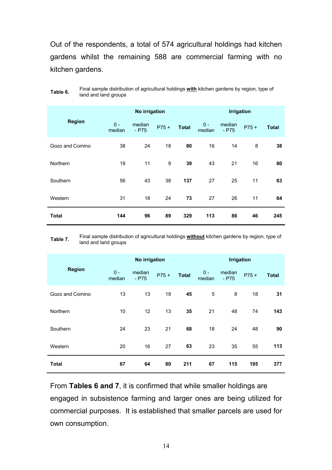Out of the respondents, a total of 574 agricultural holdings had kitchen gardens whilst the remaining 588 are commercial farming with no kitchen gardens.

|                 |                 | No irrigation     |        |              |                 | <b>Irrigation</b> |        |              |
|-----------------|-----------------|-------------------|--------|--------------|-----------------|-------------------|--------|--------------|
| <b>Region</b>   | $0 -$<br>median | median<br>$-$ P75 | $P75+$ | <b>Total</b> | $0 -$<br>median | median<br>$-$ P75 | $P75+$ | <b>Total</b> |
| Gozo and Comino | 38              | 24                | 18     | 80           | 16              | 14                | 8      | 38           |
| Northern        | 19              | 11                | 9      | 39           | 43              | 21                | 16     | 80           |
| Southern        | 56              | 43                | 38     | 137          | 27              | 25                | 11     | 63           |
| Western         | 31              | 18                | 24     | 73           | 27              | 26                | 11     | 64           |
| <b>Total</b>    | 144             | 96                | 89     | 329          | 113             | 86                | 46     | 245          |

**Table 6.** Final sample distribution of agricultural holdings **with** kitchen gardens by region, type of land and land groups

**Table 7.** Final sample distribution of agricultural holdings **without** kitchen gardens by region, type of land and land groups

|                 |                 | No irrigation     |        |              |                 | <b>Irrigation</b> |        |              |
|-----------------|-----------------|-------------------|--------|--------------|-----------------|-------------------|--------|--------------|
| <b>Region</b>   | $0 -$<br>median | median<br>$-$ P75 | $P75+$ | <b>Total</b> | $0 -$<br>median | median<br>$-$ P75 | $P75+$ | <b>Total</b> |
| Gozo and Comino | 13              | 13                | 19     | 45           | 5               | 8                 | 18     | 31           |
| Northern        | 10              | 12                | 13     | 35           | 21              | 48                | 74     | 143          |
| Southern        | 24              | 23                | 21     | 68           | 18              | 24                | 48     | 90           |
| Western         | 20              | 16                | 27     | 63           | 23              | 35                | 55     | 113          |
| <b>Total</b>    | 67              | 64                | 80     | 211          | 67              | 115               | 195    | 377          |

From **Tables 6 and 7**, it is confirmed that while smaller holdings are engaged in subsistence farming and larger ones are being utilized for commercial purposes. It is established that smaller parcels are used for own consumption.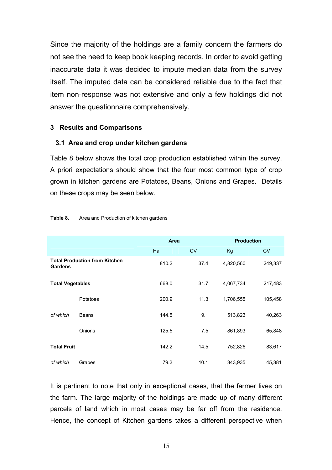Since the majority of the holdings are a family concern the farmers do not see the need to keep book keeping records. In order to avoid getting inaccurate data it was decided to impute median data from the survey itself. The imputed data can be considered reliable due to the fact that item non-response was not extensive and only a few holdings did not answer the questionnaire comprehensively.

#### **3 Results and Comparisons**

#### **3.1 Area and crop under kitchen gardens**

Table 8 below shows the total crop production established within the survey. A priori expectations should show that the four most common type of crop grown in kitchen gardens are Potatoes, Beans, Onions and Grapes. Details on these crops may be seen below.

|                         |                                      | Area  |           | <b>Production</b> |           |
|-------------------------|--------------------------------------|-------|-----------|-------------------|-----------|
|                         |                                      | Ha    | <b>CV</b> | Kg                | <b>CV</b> |
| <b>Gardens</b>          | <b>Total Production from Kitchen</b> | 810.2 | 37.4      | 4,820,560         | 249,337   |
| <b>Total Vegetables</b> |                                      | 668.0 | 31.7      | 4,067,734         | 217,483   |
|                         | Potatoes                             | 200.9 | 11.3      | 1,706,555         | 105,458   |
| of which                | Beans                                | 144.5 | 9.1       | 513,823           | 40,263    |
|                         | Onions                               | 125.5 | 7.5       | 861,893           | 65,848    |
| <b>Total Fruit</b>      |                                      | 142.2 | 14.5      | 752,826           | 83,617    |
| of which                | Grapes                               | 79.2  | 10.1      | 343,935           | 45,381    |

#### **Table 8.** Area and Production of kitchen gardens

It is pertinent to note that only in exceptional cases, that the farmer lives on the farm. The large majority of the holdings are made up of many different parcels of land which in most cases may be far off from the residence. Hence, the concept of Kitchen gardens takes a different perspective when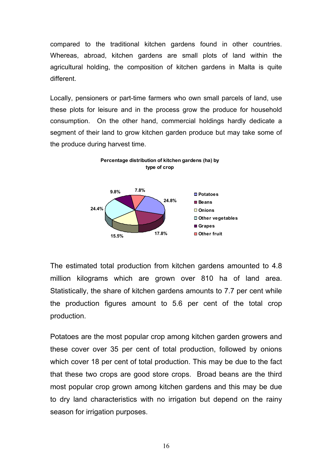compared to the traditional kitchen gardens found in other countries. Whereas, abroad, kitchen gardens are small plots of land within the agricultural holding, the composition of kitchen gardens in Malta is quite different.

Locally, pensioners or part-time farmers who own small parcels of land, use these plots for leisure and in the process grow the produce for household consumption. On the other hand, commercial holdings hardly dedicate a segment of their land to grow kitchen garden produce but may take some of the produce during harvest time.



The estimated total production from kitchen gardens amounted to 4.8 million kilograms which are grown over 810 ha of land area. Statistically, the share of kitchen gardens amounts to 7.7 per cent while the production figures amount to 5.6 per cent of the total crop production.

Potatoes are the most popular crop among kitchen garden growers and these cover over 35 per cent of total production, followed by onions which cover 18 per cent of total production. This may be due to the fact that these two crops are good store crops. Broad beans are the third most popular crop grown among kitchen gardens and this may be due to dry land characteristics with no irrigation but depend on the rainy season for irrigation purposes.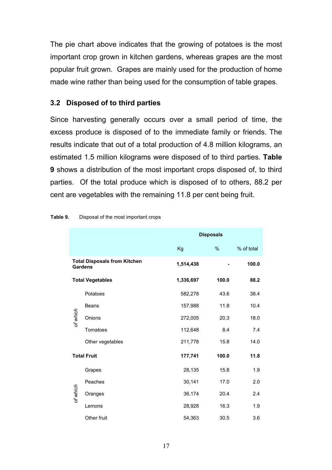The pie chart above indicates that the growing of potatoes is the most important crop grown in kitchen gardens, whereas grapes are the most popular fruit grown. Grapes are mainly used for the production of home made wine rather than being used for the consumption of table grapes.

## **3.2****Disposed of to third parties**

Since harvesting generally occurs over a small period of time, the excess produce is disposed of to the immediate family or friends. The results indicate that out of a total production of 4.8 million kilograms, an estimated 1.5 million kilograms were disposed of to third parties. **Table 9** shows a distribution of the most important crops disposed of, to third parties. Of the total produce which is disposed of to others, 88.2 per cent are vegetables with the remaining 11.8 per cent being fruit.

|          |                                                       |           | <b>Disposals</b> |            |
|----------|-------------------------------------------------------|-----------|------------------|------------|
|          |                                                       | Kg        | %                | % of total |
|          | <b>Total Disposals from Kitchen</b><br><b>Gardens</b> | 1,514,438 |                  | 100.0      |
|          | <b>Total Vegetables</b>                               | 1,336,697 | 100.0            | 88.2       |
|          | Potatoes                                              | 582,278   | 43.6             | 38.4       |
|          | Beans                                                 | 157,988   | 11.8             | 10.4       |
| of which | Onions                                                | 272,005   | 20.3             | 18.0       |
|          | Tomatoes                                              | 112,648   | 8.4              | 7.4        |
|          | Other vegetables                                      | 211,778   | 15.8             | 14.0       |
|          | <b>Total Fruit</b>                                    | 177,741   | 100.0            | 11.8       |
|          | Grapes                                                | 28,135    | 15.8             | 1.9        |
|          | Peaches                                               | 30,141    | 17.0             | 2.0        |
| of which | Oranges                                               | 36,174    | 20.4             | 2.4        |
|          | Lemons                                                | 28,928    | 16.3             | 1.9        |
|          | Other fruit                                           | 54,363    | 30.5             | 3.6        |

**Table 9.** Disposal of the most important crops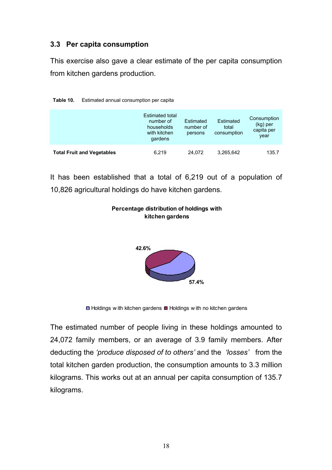## **3.3 Per capita consumption**

This exercise also gave a clear estimate of the per capita consumption from kitchen gardens production.

|                                   | Estimated total<br>number of<br>households<br>with kitchen<br>gardens | Estimated<br>number of<br>persons | Estimated<br>total<br>consumption | Consumption<br>(kg) per<br>capita per<br>year |
|-----------------------------------|-----------------------------------------------------------------------|-----------------------------------|-----------------------------------|-----------------------------------------------|
| <b>Total Fruit and Vegetables</b> | 6.219                                                                 | 24,072                            | 3,265,642                         | 135.7                                         |

**Table 10.** Estimated annual consumption per capita

It has been established that a total of 6,219 out of a population of 10,826 agricultural holdings do have kitchen gardens.



#### **Percentage distribution of holdings with kitchen gardens**

 $\Box$  Holdings w ith kitchen gardens  $\Box$  Holdings w ith no kitchen gardens

The estimated number of people living in these holdings amounted to 24,072 family members, or an average of 3.9 family members. After deducting the *'produce disposed of to others'* and the *'losses'* from the total kitchen garden production, the consumption amounts to 3.3 million kilograms. This works out at an annual per capita consumption of 135.7 kilograms.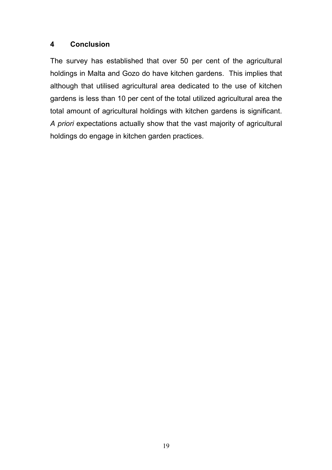## **4 Conclusion**

The survey has established that over 50 per cent of the agricultural holdings in Malta and Gozo do have kitchen gardens. This implies that although that utilised agricultural area dedicated to the use of kitchen gardens is less than 10 per cent of the total utilized agricultural area the total amount of agricultural holdings with kitchen gardens is significant. *A priori* expectations actually show that the vast majority of agricultural holdings do engage in kitchen garden practices.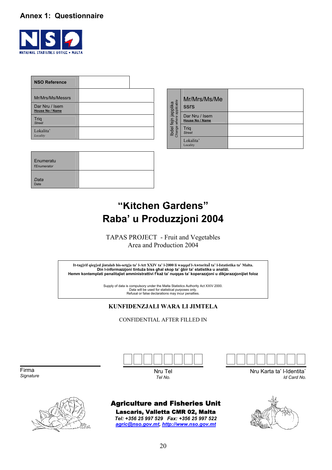## **Annex 1: Questionnaire**



| <b>NSO Reference</b>              |  |
|-----------------------------------|--|
| Mr/Mrs/Ms/Messrs                  |  |
| Dar Nru / Isem<br>House No / Name |  |
| <b>Trig</b><br><b>Street</b>      |  |
| Lokalita'<br>Locality             |  |

| Enumeratu<br><b>TEnumerator</b> |  |
|---------------------------------|--|
| Data<br>Date                    |  |

|                                                | Mr/Mrs/Ms/Me<br><b>SSrS</b>              |  |
|------------------------------------------------|------------------------------------------|--|
|                                                | Dar Nru / Isem<br><b>House No / Name</b> |  |
| Ibdel fejn japplika<br>Change where applicable | Trig<br><b>Street</b>                    |  |
|                                                | Lokalita'<br>Locality                    |  |

## **"Kitchen Gardens" Raba' u Produzzjoni 2004**

TAPAS PROJECT - Fruit and Vegetables Area and Production 2004

**It-tag]rif qieg]ed jintalab bis-setg]a ta' l-Att XXIV ta' l-2000 li waqqaf l-AwtoritaÏ ta' l-Istatistika ta' Malta.**  Din l-informazzjoni tintuża biss ghal skop ta' gbir ta' statistika u analiżi. Hemm kontemplati penalitajiet amministrattivi f'każ ta' nuqqas ta' koperazzjoni u dikjarazzjonijiet foloz

Supply of data is compulsory under the Malta Statistics Authority Act XXIV 2000.<br>Data will be used for statistical purposes only.<br>Refusal or false declarations may incur penalties.

#### **KUNFIDENZJALI WARA LI JIMTELA**

CONFIDENTIAL AFTER FILLED IN

Firma *Signature* 





Nru Tel *Tel No.*

# <u> aaanaan </u>

Nru Karta ta' I-Identita` *Id Card No.*

# Agriculture and Fisheries Unit

Lascaris, Valletta CMR 02, Malta *Tel: +356 25 997 529 Fax: +356 25 997 522 agric@nso.gov.mt, http://www.nso.gov.mt*